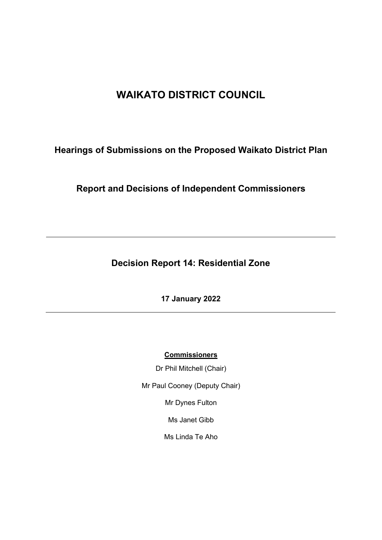# **WAIKATO DISTRICT COUNCIL**

# **Hearings of Submissions on the Proposed Waikato District Plan**

# **Report and Decisions of Independent Commissioners**

**Decision Report 14: Residential Zone**

**17 January 2022**

**Commissioners**

Dr Phil Mitchell (Chair)

Mr Paul Cooney (Deputy Chair)

Mr Dynes Fulton

Ms Janet Gibb

Ms Linda Te Aho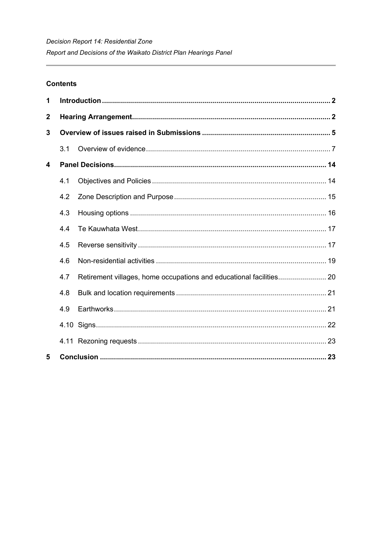# **Contents**

| 1                |     |  |  |
|------------------|-----|--|--|
| $\boldsymbol{2}$ |     |  |  |
| 3                |     |  |  |
|                  | 3.1 |  |  |
| 4                |     |  |  |
|                  | 4.1 |  |  |
|                  | 4.2 |  |  |
|                  | 4.3 |  |  |
|                  | 4.4 |  |  |
|                  | 4.5 |  |  |
|                  | 4.6 |  |  |
|                  | 4.7 |  |  |
|                  | 4.8 |  |  |
|                  | 4.9 |  |  |
|                  |     |  |  |
|                  |     |  |  |
| 5                |     |  |  |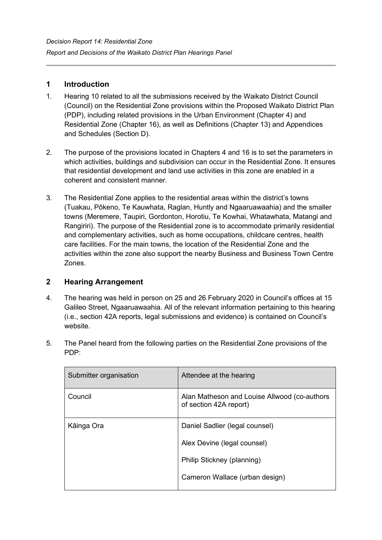# **1 Introduction**

- 1. Hearing 10 related to all the submissions received by the Waikato District Council (Council) on the Residential Zone provisions within the Proposed Waikato District Plan (PDP), including related provisions in the Urban Environment (Chapter 4) and Residential Zone (Chapter 16), as well as Definitions (Chapter 13) and Appendices and Schedules (Section D).
- 2. The purpose of the provisions located in Chapters 4 and 16 is to set the parameters in which activities, buildings and subdivision can occur in the Residential Zone. It ensures that residential development and land use activities in this zone are enabled in a coherent and consistent manner.
- 3. The Residential Zone applies to the residential areas within the district's towns (Tuakau, Pōkeno, Te Kauwhata, Raglan, Huntly and Ngaaruawaahia) and the smaller towns (Meremere, Taupiri, Gordonton, Horotiu, Te Kowhai, Whatawhata, Matangi and Rangiriri). The purpose of the Residential zone is to accommodate primarily residential and complementary activities, such as home occupations, childcare centres, health care facilities. For the main towns, the location of the Residential Zone and the activities within the zone also support the nearby Business and Business Town Centre Zones.

# **2 Hearing Arrangement**

4. The hearing was held in person on 25 and 26 February 2020 in Council's offices at 15 Galileo Street, Ngaaruawaahia. All of the relevant information pertaining to this hearing (i.e., section 42A reports, legal submissions and evidence) is contained on Council's website.

| Submitter organisation | Attendee at the hearing                                                |
|------------------------|------------------------------------------------------------------------|
| Council                | Alan Matheson and Louise Allwood (co-authors<br>of section 42A report) |
| Kāinga Ora             | Daniel Sadlier (legal counsel)                                         |
|                        | Alex Devine (legal counsel)                                            |
|                        | Philip Stickney (planning)                                             |
|                        | Cameron Wallace (urban design)                                         |
|                        |                                                                        |

5. The Panel heard from the following parties on the Residential Zone provisions of the PDP: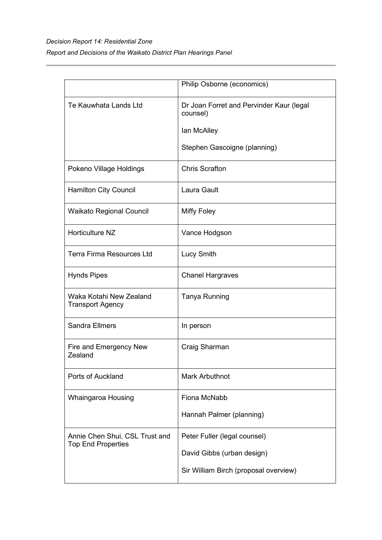# *Decision Report 14: Residential Zone Report and Decisions of the Waikato District Plan Hearings Panel*

|                                                             | Philip Osborne (economics)                           |
|-------------------------------------------------------------|------------------------------------------------------|
| Te Kauwhata Lands Ltd                                       | Dr Joan Forret and Pervinder Kaur (legal<br>counsel) |
|                                                             | lan McAlley                                          |
|                                                             | Stephen Gascoigne (planning)                         |
| Pokeno Village Holdings                                     | <b>Chris Scrafton</b>                                |
| <b>Hamilton City Council</b>                                | Laura Gault                                          |
| <b>Waikato Regional Council</b>                             | <b>Miffy Foley</b>                                   |
| Horticulture NZ                                             | Vance Hodgson                                        |
| <b>Terra Firma Resources Ltd</b>                            | Lucy Smith                                           |
| <b>Hynds Pipes</b>                                          | <b>Chanel Hargraves</b>                              |
| Waka Kotahi New Zealand<br><b>Transport Agency</b>          | <b>Tanya Running</b>                                 |
| <b>Sandra Ellmers</b>                                       | In person                                            |
| Fire and Emergency New<br>Zealand                           | Craig Sharman                                        |
| Ports of Auckland                                           | <b>Mark Arbuthnot</b>                                |
| Whaingaroa Housing                                          | Fiona McNabb                                         |
|                                                             | Hannah Palmer (planning)                             |
| Annie Chen Shui, CSL Trust and<br><b>Top End Properties</b> | Peter Fuller (legal counsel)                         |
|                                                             | David Gibbs (urban design)                           |
|                                                             | Sir William Birch (proposal overview)                |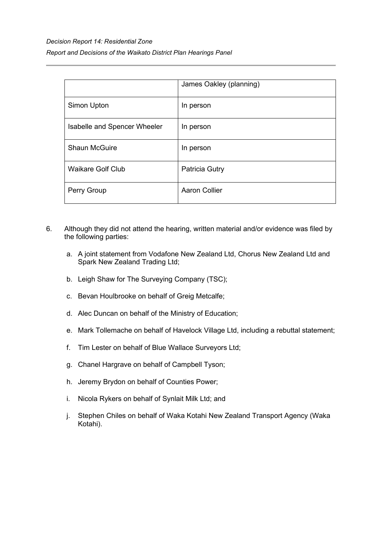|                              | James Oakley (planning) |
|------------------------------|-------------------------|
| Simon Upton                  | In person               |
| Isabelle and Spencer Wheeler | In person               |
| <b>Shaun McGuire</b>         | In person               |
| <b>Waikare Golf Club</b>     | Patricia Gutry          |
| Perry Group                  | <b>Aaron Collier</b>    |

- 6. Although they did not attend the hearing, written material and/or evidence was filed by the following parties:
	- a. A joint statement from Vodafone New Zealand Ltd, Chorus New Zealand Ltd and Spark New Zealand Trading Ltd;
	- b. Leigh Shaw for The Surveying Company (TSC);
	- c. Bevan Houlbrooke on behalf of Greig Metcalfe;
	- d. Alec Duncan on behalf of the Ministry of Education;
	- e. Mark Tollemache on behalf of Havelock Village Ltd, including a rebuttal statement;
	- f. Tim Lester on behalf of Blue Wallace Surveyors Ltd;
	- g. Chanel Hargrave on behalf of Campbell Tyson;
	- h. Jeremy Brydon on behalf of Counties Power;
	- i. Nicola Rykers on behalf of Synlait Milk Ltd; and
	- j. Stephen Chiles on behalf of Waka Kotahi New Zealand Transport Agency (Waka Kotahi).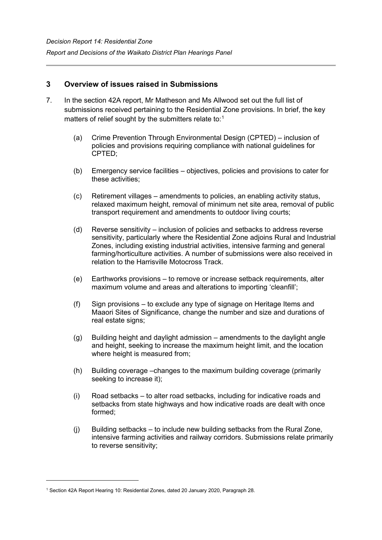# **3 Overview of issues raised in Submissions**

- 7. In the section 42A report, Mr Matheson and Ms Allwood set out the full list of submissions received pertaining to the Residential Zone provisions. In brief, the key matters of relief sought by the submitters relate to:[1](#page-5-0)  $\,$ 
	- (a) Crime Prevention Through Environmental Design (CPTED) inclusion of policies and provisions requiring compliance with national guidelines for CPTED;
	- (b) Emergency service facilities objectives, policies and provisions to cater for these activities;
	- (c) Retirement villages amendments to policies, an enabling activity status, relaxed maximum height, removal of minimum net site area, removal of public transport requirement and amendments to outdoor living courts;
	- (d) Reverse sensitivity inclusion of policies and setbacks to address reverse sensitivity, particularly where the Residential Zone adjoins Rural and Industrial Zones, including existing industrial activities, intensive farming and general farming/horticulture activities. A number of submissions were also received in relation to the Harrisville Motocross Track.
	- (e) Earthworks provisions to remove or increase setback requirements, alter maximum volume and areas and alterations to importing 'cleanfill';
	- (f) Sign provisions to exclude any type of signage on Heritage Items and Maaori Sites of Significance, change the number and size and durations of real estate signs;
	- (g) Building height and daylight admission amendments to the daylight angle and height, seeking to increase the maximum height limit, and the location where height is measured from;
	- (h) Building coverage –changes to the maximum building coverage (primarily seeking to increase it);
	- (i) Road setbacks to alter road setbacks, including for indicative roads and setbacks from state highways and how indicative roads are dealt with once formed;
	- (j) Building setbacks to include new building setbacks from the Rural Zone, intensive farming activities and railway corridors. Submissions relate primarily to reverse sensitivity;

<span id="page-5-0"></span><sup>1</sup> Section 42A Report Hearing 10: Residential Zones, dated 20 January 2020, Paragraph 28.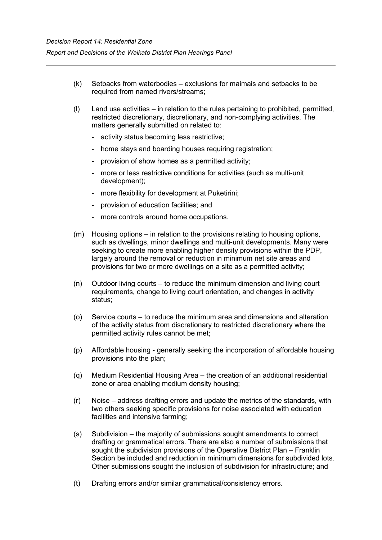- (k) Setbacks from waterbodies exclusions for maimais and setbacks to be required from named rivers/streams;
- (l) Land use activities in relation to the rules pertaining to prohibited, permitted, restricted discretionary, discretionary, and non-complying activities. The matters generally submitted on related to:
	- activity status becoming less restrictive;
	- home stays and boarding houses requiring registration;
	- provision of show homes as a permitted activity;
	- more or less restrictive conditions for activities (such as multi-unit development);
	- more flexibility for development at Puketirini;
	- provision of education facilities; and
	- more controls around home occupations.
- (m) Housing options in relation to the provisions relating to housing options, such as dwellings, minor dwellings and multi-unit developments. Many were seeking to create more enabling higher density provisions within the PDP, largely around the removal or reduction in minimum net site areas and provisions for two or more dwellings on a site as a permitted activity;
- (n) Outdoor living courts to reduce the minimum dimension and living court requirements, change to living court orientation, and changes in activity status;
- (o) Service courts to reduce the minimum area and dimensions and alteration of the activity status from discretionary to restricted discretionary where the permitted activity rules cannot be met;
- (p) Affordable housing generally seeking the incorporation of affordable housing provisions into the plan;
- (q) Medium Residential Housing Area the creation of an additional residential zone or area enabling medium density housing;
- (r) Noise address drafting errors and update the metrics of the standards, with two others seeking specific provisions for noise associated with education facilities and intensive farming;
- (s) Subdivision the majority of submissions sought amendments to correct drafting or grammatical errors. There are also a number of submissions that sought the subdivision provisions of the Operative District Plan – Franklin Section be included and reduction in minimum dimensions for subdivided lots. Other submissions sought the inclusion of subdivision for infrastructure; and
- (t) Drafting errors and/or similar grammatical/consistency errors.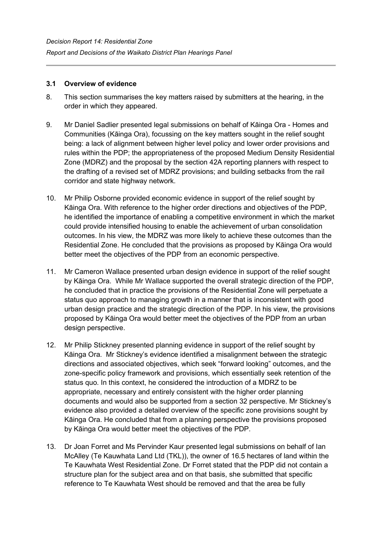### **3.1 Overview of evidence**

- 8. This section summarises the key matters raised by submitters at the hearing, in the order in which they appeared.
- 9. Mr Daniel Sadlier presented legal submissions on behalf of Kāinga Ora Homes and Communities (Kāinga Ora), focussing on the key matters sought in the relief sought being: a lack of alignment between higher level policy and lower order provisions and rules within the PDP; the appropriateness of the proposed Medium Density Residential Zone (MDRZ) and the proposal by the section 42A reporting planners with respect to the drafting of a revised set of MDRZ provisions; and building setbacks from the rail corridor and state highway network.
- 10. Mr Philip Osborne provided economic evidence in support of the relief sought by Kāinga Ora. With reference to the higher order directions and objectives of the PDP, he identified the importance of enabling a competitive environment in which the market could provide intensified housing to enable the achievement of urban consolidation outcomes. In his view, the MDRZ was more likely to achieve these outcomes than the Residential Zone. He concluded that the provisions as proposed by Kāinga Ora would better meet the objectives of the PDP from an economic perspective.
- 11. Mr Cameron Wallace presented urban design evidence in support of the relief sought by Kāinga Ora. While Mr Wallace supported the overall strategic direction of the PDP, he concluded that in practice the provisions of the Residential Zone will perpetuate a status quo approach to managing growth in a manner that is inconsistent with good urban design practice and the strategic direction of the PDP. In his view, the provisions proposed by Kāinga Ora would better meet the objectives of the PDP from an urban design perspective.
- 12. Mr Philip Stickney presented planning evidence in support of the relief sought by Kāinga Ora. Mr Stickney's evidence identified a misalignment between the strategic directions and associated objectives, which seek "forward looking" outcomes, and the zone-specific policy framework and provisions, which essentially seek retention of the status quo. In this context, he considered the introduction of a MDRZ to be appropriate, necessary and entirely consistent with the higher order planning documents and would also be supported from a section 32 perspective. Mr Stickney's evidence also provided a detailed overview of the specific zone provisions sought by Kāinga Ora. He concluded that from a planning perspective the provisions proposed by Kāinga Ora would better meet the objectives of the PDP.
- 13. Dr Joan Forret and Ms Pervinder Kaur presented legal submissions on behalf of Ian McAlley (Te Kauwhata Land Ltd (TKL)), the owner of 16.5 hectares of land within the Te Kauwhata West Residential Zone. Dr Forret stated that the PDP did not contain a structure plan for the subject area and on that basis, she submitted that specific reference to Te Kauwhata West should be removed and that the area be fully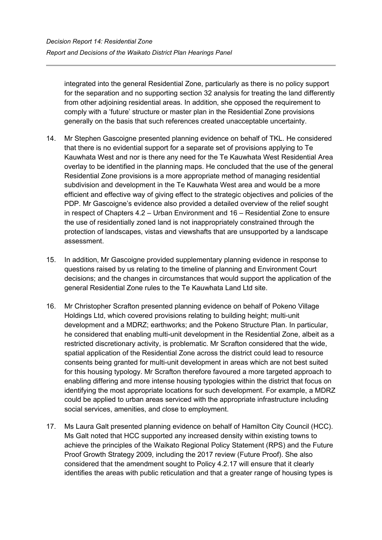integrated into the general Residential Zone, particularly as there is no policy support for the separation and no supporting section 32 analysis for treating the land differently from other adjoining residential areas. In addition, she opposed the requirement to comply with a 'future' structure or master plan in the Residential Zone provisions generally on the basis that such references created unacceptable uncertainty.

- 14. Mr Stephen Gascoigne presented planning evidence on behalf of TKL. He considered that there is no evidential support for a separate set of provisions applying to Te Kauwhata West and nor is there any need for the Te Kauwhata West Residential Area overlay to be identified in the planning maps. He concluded that the use of the general Residential Zone provisions is a more appropriate method of managing residential subdivision and development in the Te Kauwhata West area and would be a more efficient and effective way of giving effect to the strategic objectives and policies of the PDP. Mr Gascoigne's evidence also provided a detailed overview of the relief sought in respect of Chapters 4.2 – Urban Environment and 16 – Residential Zone to ensure the use of residentially zoned land is not inappropriately constrained through the protection of landscapes, vistas and viewshafts that are unsupported by a landscape assessment.
- 15. In addition, Mr Gascoigne provided supplementary planning evidence in response to questions raised by us relating to the timeline of planning and Environment Court decisions; and the changes in circumstances that would support the application of the general Residential Zone rules to the Te Kauwhata Land Ltd site.
- 16. Mr Christopher Scrafton presented planning evidence on behalf of Pokeno Village Holdings Ltd, which covered provisions relating to building height; multi-unit development and a MDRZ; earthworks; and the Pokeno Structure Plan. In particular, he considered that enabling multi-unit development in the Residential Zone, albeit as a restricted discretionary activity, is problematic. Mr Scrafton considered that the wide, spatial application of the Residential Zone across the district could lead to resource consents being granted for multi-unit development in areas which are not best suited for this housing typology. Mr Scrafton therefore favoured a more targeted approach to enabling differing and more intense housing typologies within the district that focus on identifying the most appropriate locations for such development. For example, a MDRZ could be applied to urban areas serviced with the appropriate infrastructure including social services, amenities, and close to employment.
- 17. Ms Laura Galt presented planning evidence on behalf of Hamilton City Council (HCC). Ms Galt noted that HCC supported any increased density within existing towns to achieve the principles of the Waikato Regional Policy Statement (RPS) and the Future Proof Growth Strategy 2009, including the 2017 review (Future Proof). She also considered that the amendment sought to Policy 4.2.17 will ensure that it clearly identifies the areas with public reticulation and that a greater range of housing types is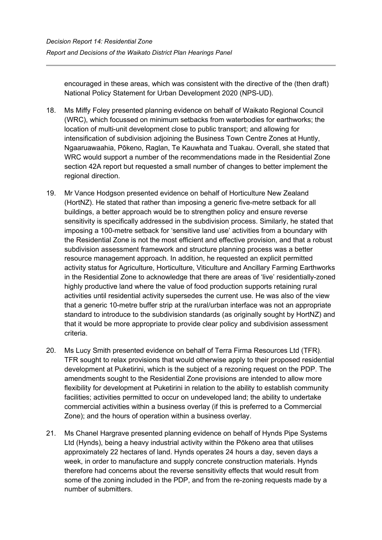encouraged in these areas, which was consistent with the directive of the (then draft) National Policy Statement for Urban Development 2020 (NPS-UD).

- 18. Ms Miffy Foley presented planning evidence on behalf of Waikato Regional Council (WRC), which focussed on minimum setbacks from waterbodies for earthworks; the location of multi-unit development close to public transport; and allowing for intensification of subdivision adjoining the Business Town Centre Zones at Huntly, Ngaaruawaahia, Pōkeno, Raglan, Te Kauwhata and Tuakau. Overall, she stated that WRC would support a number of the recommendations made in the Residential Zone section 42A report but requested a small number of changes to better implement the regional direction.
- 19. Mr Vance Hodgson presented evidence on behalf of Horticulture New Zealand (HortNZ). He stated that rather than imposing a generic five-metre setback for all buildings, a better approach would be to strengthen policy and ensure reverse sensitivity is specifically addressed in the subdivision process. Similarly, he stated that imposing a 100-metre setback for 'sensitive land use' activities from a boundary with the Residential Zone is not the most efficient and effective provision, and that a robust subdivision assessment framework and structure planning process was a better resource management approach. In addition, he requested an explicit permitted activity status for Agriculture, Horticulture, Viticulture and Ancillary Farming Earthworks in the Residential Zone to acknowledge that there are areas of 'live' residentially-zoned highly productive land where the value of food production supports retaining rural activities until residential activity supersedes the current use. He was also of the view that a generic 10-metre buffer strip at the rural/urban interface was not an appropriate standard to introduce to the subdivision standards (as originally sought by HortNZ) and that it would be more appropriate to provide clear policy and subdivision assessment criteria.
- 20. Ms Lucy Smith presented evidence on behalf of Terra Firma Resources Ltd (TFR). TFR sought to relax provisions that would otherwise apply to their proposed residential development at Puketirini, which is the subject of a rezoning request on the PDP. The amendments sought to the Residential Zone provisions are intended to allow more flexibility for development at Puketirini in relation to the ability to establish community facilities; activities permitted to occur on undeveloped land; the ability to undertake commercial activities within a business overlay (if this is preferred to a Commercial Zone); and the hours of operation within a business overlay.
- 21. Ms Chanel Hargrave presented planning evidence on behalf of Hynds Pipe Systems Ltd (Hynds), being a heavy industrial activity within the Pōkeno area that utilises approximately 22 hectares of land. Hynds operates 24 hours a day, seven days a week, in order to manufacture and supply concrete construction materials. Hynds therefore had concerns about the reverse sensitivity effects that would result from some of the zoning included in the PDP, and from the re-zoning requests made by a number of submitters.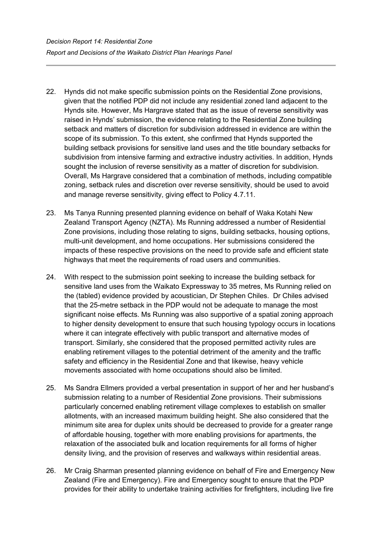- 22. Hynds did not make specific submission points on the Residential Zone provisions, given that the notified PDP did not include any residential zoned land adjacent to the Hynds site. However, Ms Hargrave stated that as the issue of reverse sensitivity was raised in Hynds' submission, the evidence relating to the Residential Zone building setback and matters of discretion for subdivision addressed in evidence are within the scope of its submission. To this extent, she confirmed that Hynds supported the building setback provisions for sensitive land uses and the title boundary setbacks for subdivision from intensive farming and extractive industry activities. In addition, Hynds sought the inclusion of reverse sensitivity as a matter of discretion for subdivision. Overall, Ms Hargrave considered that a combination of methods, including compatible zoning, setback rules and discretion over reverse sensitivity, should be used to avoid and manage reverse sensitivity, giving effect to Policy 4.7.11.
- 23. Ms Tanya Running presented planning evidence on behalf of Waka Kotahi New Zealand Transport Agency (NZTA). Ms Running addressed a number of Residential Zone provisions, including those relating to signs, building setbacks, housing options, multi-unit development, and home occupations. Her submissions considered the impacts of these respective provisions on the need to provide safe and efficient state highways that meet the requirements of road users and communities.
- 24. With respect to the submission point seeking to increase the building setback for sensitive land uses from the Waikato Expressway to 35 metres, Ms Running relied on the (tabled) evidence provided by acoustician, Dr Stephen Chiles. Dr Chiles advised that the 25-metre setback in the PDP would not be adequate to manage the most significant noise effects. Ms Running was also supportive of a spatial zoning approach to higher density development to ensure that such housing typology occurs in locations where it can integrate effectively with public transport and alternative modes of transport. Similarly, she considered that the proposed permitted activity rules are enabling retirement villages to the potential detriment of the amenity and the traffic safety and efficiency in the Residential Zone and that likewise, heavy vehicle movements associated with home occupations should also be limited.
- 25. Ms Sandra Ellmers provided a verbal presentation in support of her and her husband's submission relating to a number of Residential Zone provisions. Their submissions particularly concerned enabling retirement village complexes to establish on smaller allotments, with an increased maximum building height. She also considered that the minimum site area for duplex units should be decreased to provide for a greater range of affordable housing, together with more enabling provisions for apartments, the relaxation of the associated bulk and location requirements for all forms of higher density living, and the provision of reserves and walkways within residential areas.
- 26. Mr Craig Sharman presented planning evidence on behalf of Fire and Emergency New Zealand (Fire and Emergency). Fire and Emergency sought to ensure that the PDP provides for their ability to undertake training activities for firefighters, including live fire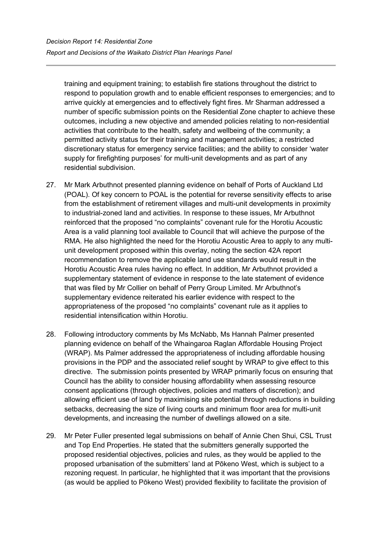training and equipment training; to establish fire stations throughout the district to respond to population growth and to enable efficient responses to emergencies; and to arrive quickly at emergencies and to effectively fight fires. Mr Sharman addressed a number of specific submission points on the Residential Zone chapter to achieve these outcomes, including a new objective and amended policies relating to non-residential activities that contribute to the health, safety and wellbeing of the community; a permitted activity status for their training and management activities; a restricted discretionary status for emergency service facilities; and the ability to consider 'water supply for firefighting purposes' for multi-unit developments and as part of any residential subdivision.

- 27. Mr Mark Arbuthnot presented planning evidence on behalf of Ports of Auckland Ltd (POAL). Of key concern to POAL is the potential for reverse sensitivity effects to arise from the establishment of retirement villages and multi-unit developments in proximity to industrial-zoned land and activities. In response to these issues, Mr Arbuthnot reinforced that the proposed "no complaints" covenant rule for the Horotiu Acoustic Area is a valid planning tool available to Council that will achieve the purpose of the RMA. He also highlighted the need for the Horotiu Acoustic Area to apply to any multiunit development proposed within this overlay, noting the section 42A report recommendation to remove the applicable land use standards would result in the Horotiu Acoustic Area rules having no effect. In addition, Mr Arbuthnot provided a supplementary statement of evidence in response to the late statement of evidence that was filed by Mr Collier on behalf of Perry Group Limited. Mr Arbuthnot's supplementary evidence reiterated his earlier evidence with respect to the appropriateness of the proposed "no complaints" covenant rule as it applies to residential intensification within Horotiu.
- 28. Following introductory comments by Ms McNabb, Ms Hannah Palmer presented planning evidence on behalf of the Whaingaroa Raglan Affordable Housing Project (WRAP). Ms Palmer addressed the appropriateness of including affordable housing provisions in the PDP and the associated relief sought by WRAP to give effect to this directive. The submission points presented by WRAP primarily focus on ensuring that Council has the ability to consider housing affordability when assessing resource consent applications (through objectives, policies and matters of discretion); and allowing efficient use of land by maximising site potential through reductions in building setbacks, decreasing the size of living courts and minimum floor area for multi-unit developments, and increasing the number of dwellings allowed on a site.
- 29. Mr Peter Fuller presented legal submissions on behalf of Annie Chen Shui, CSL Trust and Top End Properties. He stated that the submitters generally supported the proposed residential objectives, policies and rules, as they would be applied to the proposed urbanisation of the submitters' land at Pōkeno West, which is subject to a rezoning request. In particular, he highlighted that it was important that the provisions (as would be applied to Pōkeno West) provided flexibility to facilitate the provision of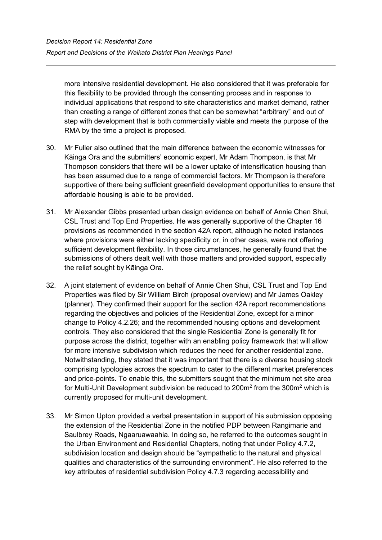more intensive residential development. He also considered that it was preferable for this flexibility to be provided through the consenting process and in response to individual applications that respond to site characteristics and market demand, rather than creating a range of different zones that can be somewhat "arbitrary" and out of step with development that is both commercially viable and meets the purpose of the RMA by the time a project is proposed.

- 30. Mr Fuller also outlined that the main difference between the economic witnesses for Kāinga Ora and the submitters' economic expert, Mr Adam Thompson, is that Mr Thompson considers that there will be a lower uptake of intensification housing than has been assumed due to a range of commercial factors. Mr Thompson is therefore supportive of there being sufficient greenfield development opportunities to ensure that affordable housing is able to be provided.
- 31. Mr Alexander Gibbs presented urban design evidence on behalf of Annie Chen Shui, CSL Trust and Top End Properties. He was generally supportive of the Chapter 16 provisions as recommended in the section 42A report, although he noted instances where provisions were either lacking specificity or, in other cases, were not offering sufficient development flexibility. In those circumstances, he generally found that the submissions of others dealt well with those matters and provided support, especially the relief sought by Kāinga Ora.
- 32. A joint statement of evidence on behalf of Annie Chen Shui, CSL Trust and Top End Properties was filed by Sir William Birch (proposal overview) and Mr James Oakley (planner). They confirmed their support for the section 42A report recommendations regarding the objectives and policies of the Residential Zone, except for a minor change to Policy 4.2.26; and the recommended housing options and development controls. They also considered that the single Residential Zone is generally fit for purpose across the district, together with an enabling policy framework that will allow for more intensive subdivision which reduces the need for another residential zone. Notwithstanding, they stated that it was important that there is a diverse housing stock comprising typologies across the spectrum to cater to the different market preferences and price-points. To enable this, the submitters sought that the minimum net site area for Multi-Unit Development subdivision be reduced to 200m<sup>2</sup> from the 300m<sup>2</sup> which is currently proposed for multi-unit development.
- 33. Mr Simon Upton provided a verbal presentation in support of his submission opposing the extension of the Residential Zone in the notified PDP between Rangimarie and Saulbrey Roads, Ngaaruawaahia. In doing so, he referred to the outcomes sought in the Urban Environment and Residential Chapters, noting that under Policy 4.7.2, subdivision location and design should be "sympathetic to the natural and physical qualities and characteristics of the surrounding environment". He also referred to the key attributes of residential subdivision Policy 4.7.3 regarding accessibility and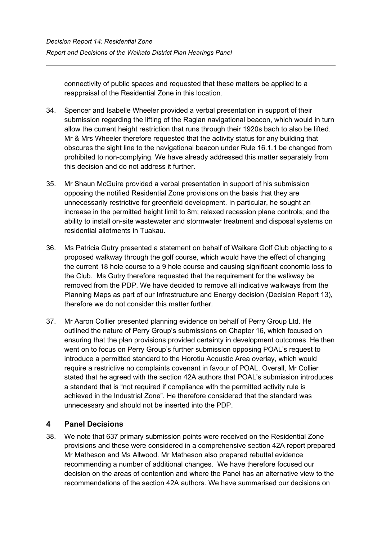connectivity of public spaces and requested that these matters be applied to a reappraisal of the Residential Zone in this location.

- 34. Spencer and Isabelle Wheeler provided a verbal presentation in support of their submission regarding the lifting of the Raglan navigational beacon, which would in turn allow the current height restriction that runs through their 1920s bach to also be lifted. Mr & Mrs Wheeler therefore requested that the activity status for any building that obscures the sight line to the navigational beacon under Rule 16.1.1 be changed from prohibited to non-complying. We have already addressed this matter separately from this decision and do not address it further.
- 35. Mr Shaun McGuire provided a verbal presentation in support of his submission opposing the notified Residential Zone provisions on the basis that they are unnecessarily restrictive for greenfield development. In particular, he sought an increase in the permitted height limit to 8m; relaxed recession plane controls; and the ability to install on-site wastewater and stormwater treatment and disposal systems on residential allotments in Tuakau.
- 36. Ms Patricia Gutry presented a statement on behalf of Waikare Golf Club objecting to a proposed walkway through the golf course, which would have the effect of changing the current 18 hole course to a 9 hole course and causing significant economic loss to the Club. Ms Gutry therefore requested that the requirement for the walkway be removed from the PDP. We have decided to remove all indicative walkways from the Planning Maps as part of our Infrastructure and Energy decision (Decision Report 13), therefore we do not consider this matter further.
- 37. Mr Aaron Collier presented planning evidence on behalf of Perry Group Ltd. He outlined the nature of Perry Group's submissions on Chapter 16, which focused on ensuring that the plan provisions provided certainty in development outcomes. He then went on to focus on Perry Group's further submission opposing POAL's request to introduce a permitted standard to the Horotiu Acoustic Area overlay, which would require a restrictive no complaints covenant in favour of POAL. Overall, Mr Collier stated that he agreed with the section 42A authors that POAL's submission introduces a standard that is "not required if compliance with the permitted activity rule is achieved in the Industrial Zone". He therefore considered that the standard was unnecessary and should not be inserted into the PDP.

# **4 Panel Decisions**

38. We note that 637 primary submission points were received on the Residential Zone provisions and these were considered in a comprehensive section 42A report prepared Mr Matheson and Ms Allwood. Mr Matheson also prepared rebuttal evidence recommending a number of additional changes. We have therefore focused our decision on the areas of contention and where the Panel has an alternative view to the recommendations of the section 42A authors. We have summarised our decisions on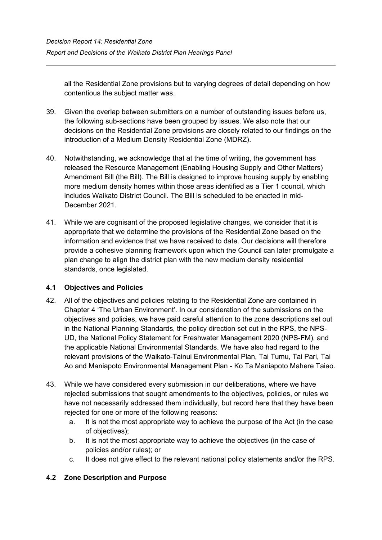all the Residential Zone provisions but to varying degrees of detail depending on how contentious the subject matter was.

- 39. Given the overlap between submitters on a number of outstanding issues before us, the following sub-sections have been grouped by issues. We also note that our decisions on the Residential Zone provisions are closely related to our findings on the introduction of a Medium Density Residential Zone (MDRZ).
- 40. Notwithstanding, we acknowledge that at the time of writing, the government has released the Resource Management (Enabling Housing Supply and Other Matters) Amendment Bill (the Bill). The Bill is designed to improve housing supply by enabling more medium density homes within those areas identified as a Tier 1 council, which includes Waikato District Council. The Bill is scheduled to be enacted in mid-December 2021.
- 41. While we are cognisant of the proposed legislative changes, we consider that it is appropriate that we determine the provisions of the Residential Zone based on the information and evidence that we have received to date. Our decisions will therefore provide a cohesive planning framework upon which the Council can later promulgate a plan change to align the district plan with the new medium density residential standards, once legislated.

## **4.1 Objectives and Policies**

- 42. All of the objectives and policies relating to the Residential Zone are contained in Chapter 4 'The Urban Environment'. In our consideration of the submissions on the objectives and policies, we have paid careful attention to the zone descriptions set out in the National Planning Standards, the policy direction set out in the RPS, the NPS-UD, the National Policy Statement for Freshwater Management 2020 (NPS-FM), and the applicable National Environmental Standards. We have also had regard to the relevant provisions of the Waikato-Tainui Environmental Plan, Tai Tumu, Tai Pari, Tai Ao and Maniapoto Environmental Management Plan - Ko Ta Maniapoto Mahere Taiao.
- 43. While we have considered every submission in our deliberations, where we have rejected submissions that sought amendments to the objectives, policies, or rules we have not necessarily addressed them individually, but record here that they have been rejected for one or more of the following reasons:
	- a. It is not the most appropriate way to achieve the purpose of the Act (in the case of objectives);
	- b. It is not the most appropriate way to achieve the objectives (in the case of policies and/or rules); or
	- c. It does not give effect to the relevant national policy statements and/or the RPS.

# **4.2 Zone Description and Purpose**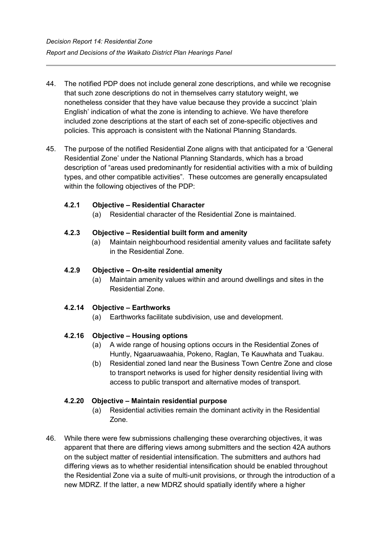- 44. The notified PDP does not include general zone descriptions, and while we recognise that such zone descriptions do not in themselves carry statutory weight, we nonetheless consider that they have value because they provide a succinct 'plain English' indication of what the zone is intending to achieve. We have therefore included zone descriptions at the start of each set of zone-specific objectives and policies. This approach is consistent with the National Planning Standards.
- 45. The purpose of the notified Residential Zone aligns with that anticipated for a 'General Residential Zone' under the National Planning Standards, which has a broad description of "areas used predominantly for residential activities with a mix of building types, and other compatible activities". These outcomes are generally encapsulated within the following objectives of the PDP:

## **4.2.1 Objective – Residential Character**

(a) Residential character of the Residential Zone is maintained.

#### **4.2.3 Objective – Residential built form and amenity**

(a) Maintain neighbourhood residential amenity values and facilitate safety in the Residential Zone.

#### **4.2.9 Objective – On-site residential amenity**

(a) Maintain amenity values within and around dwellings and sites in the Residential Zone.

#### **4.2.14 Objective – Earthworks**

(a) Earthworks facilitate subdivision, use and development.

## **4.2.16 Objective – Housing options**

- (a) A wide range of housing options occurs in the Residential Zones of Huntly, Ngaaruawaahia, Pokeno, Raglan, Te Kauwhata and Tuakau.
- (b) Residential zoned land near the Business Town Centre Zone and close to transport networks is used for higher density residential living with access to public transport and alternative modes of transport.

#### **4.2.20 Objective – Maintain residential purpose**

- (a) Residential activities remain the dominant activity in the Residential Zone.
- 46. While there were few submissions challenging these overarching objectives, it was apparent that there are differing views among submitters and the section 42A authors on the subject matter of residential intensification. The submitters and authors had differing views as to whether residential intensification should be enabled throughout the Residential Zone via a suite of multi-unit provisions, or through the introduction of a new MDRZ. If the latter, a new MDRZ should spatially identify where a higher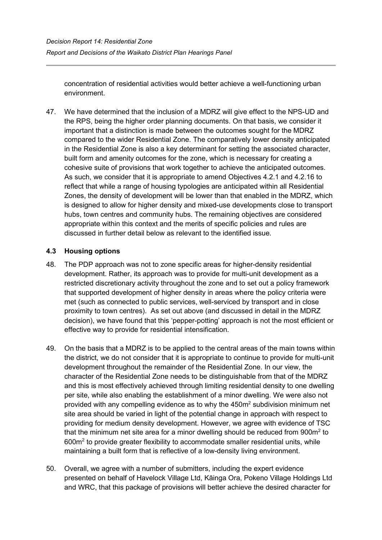concentration of residential activities would better achieve a well-functioning urban environment.

47. We have determined that the inclusion of a MDRZ will give effect to the NPS-UD and the RPS, being the higher order planning documents. On that basis, we consider it important that a distinction is made between the outcomes sought for the MDRZ compared to the wider Residential Zone. The comparatively lower density anticipated in the Residential Zone is also a key determinant for setting the associated character, built form and amenity outcomes for the zone, which is necessary for creating a cohesive suite of provisions that work together to achieve the anticipated outcomes. As such, we consider that it is appropriate to amend Objectives 4.2.1 and 4.2.16 to reflect that while a range of housing typologies are anticipated within all Residential Zones, the density of development will be lower than that enabled in the MDRZ, which is designed to allow for higher density and mixed-use developments close to transport hubs, town centres and community hubs. The remaining objectives are considered appropriate within this context and the merits of specific policies and rules are discussed in further detail below as relevant to the identified issue.

## **4.3 Housing options**

- 48. The PDP approach was not to zone specific areas for higher-density residential development. Rather, its approach was to provide for multi-unit development as a restricted discretionary activity throughout the zone and to set out a policy framework that supported development of higher density in areas where the policy criteria were met (such as connected to public services, well-serviced by transport and in close proximity to town centres). As set out above (and discussed in detail in the MDRZ decision), we have found that this 'pepper-potting' approach is not the most efficient or effective way to provide for residential intensification.
- 49. On the basis that a MDRZ is to be applied to the central areas of the main towns within the district, we do not consider that it is appropriate to continue to provide for multi-unit development throughout the remainder of the Residential Zone. In our view, the character of the Residential Zone needs to be distinguishable from that of the MDRZ and this is most effectively achieved through limiting residential density to one dwelling per site, while also enabling the establishment of a minor dwelling. We were also not provided with any compelling evidence as to why the 450m2 subdivision minimum net site area should be varied in light of the potential change in approach with respect to providing for medium density development. However, we agree with evidence of TSC that the minimum net site area for a minor dwelling should be reduced from  $900m<sup>2</sup>$  to 600m2 to provide greater flexibility to accommodate smaller residential units, while maintaining a built form that is reflective of a low-density living environment.
- 50. Overall, we agree with a number of submitters, including the expert evidence presented on behalf of Havelock Village Ltd, Kāinga Ora, Pokeno Village Holdings Ltd and WRC, that this package of provisions will better achieve the desired character for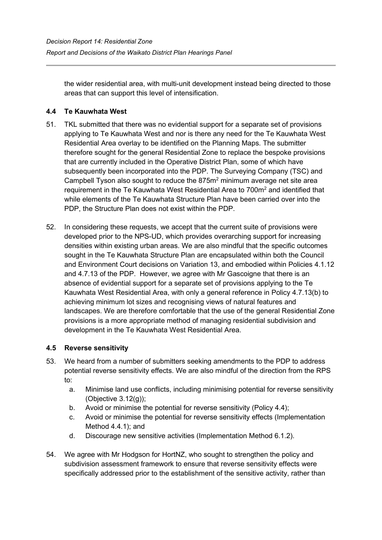the wider residential area, with multi-unit development instead being directed to those areas that can support this level of intensification.

# **4.4 Te Kauwhata West**

- 51. TKL submitted that there was no evidential support for a separate set of provisions applying to Te Kauwhata West and nor is there any need for the Te Kauwhata West Residential Area overlay to be identified on the Planning Maps. The submitter therefore sought for the general Residential Zone to replace the bespoke provisions that are currently included in the Operative District Plan, some of which have subsequently been incorporated into the PDP. The Surveying Company (TSC) and Campbell Tyson also sought to reduce the  $875m<sup>2</sup>$  minimum average net site area requirement in the Te Kauwhata West Residential Area to 700m<sup>2</sup> and identified that while elements of the Te Kauwhata Structure Plan have been carried over into the PDP, the Structure Plan does not exist within the PDP.
- 52. In considering these requests, we accept that the current suite of provisions were developed prior to the NPS-UD, which provides overarching support for increasing densities within existing urban areas. We are also mindful that the specific outcomes sought in the Te Kauwhata Structure Plan are encapsulated within both the Council and Environment Court decisions on Variation 13, and embodied within Policies 4.1.12 and 4.7.13 of the PDP. However, we agree with Mr Gascoigne that there is an absence of evidential support for a separate set of provisions applying to the Te Kauwhata West Residential Area, with only a general reference in Policy 4.7.13(b) to achieving minimum lot sizes and recognising views of natural features and landscapes. We are therefore comfortable that the use of the general Residential Zone provisions is a more appropriate method of managing residential subdivision and development in the Te Kauwhata West Residential Area.

## **4.5 Reverse sensitivity**

- 53. We heard from a number of submitters seeking amendments to the PDP to address potential reverse sensitivity effects. We are also mindful of the direction from the RPS to:
	- a. Minimise land use conflicts, including minimising potential for reverse sensitivity (Objective 3.12(g));
	- b. Avoid or minimise the potential for reverse sensitivity (Policy 4.4);
	- c. Avoid or minimise the potential for reverse sensitivity effects (Implementation Method 4.4.1); and
	- d. Discourage new sensitive activities (Implementation Method 6.1.2).
- 54. We agree with Mr Hodgson for HortNZ, who sought to strengthen the policy and subdivision assessment framework to ensure that reverse sensitivity effects were specifically addressed prior to the establishment of the sensitive activity, rather than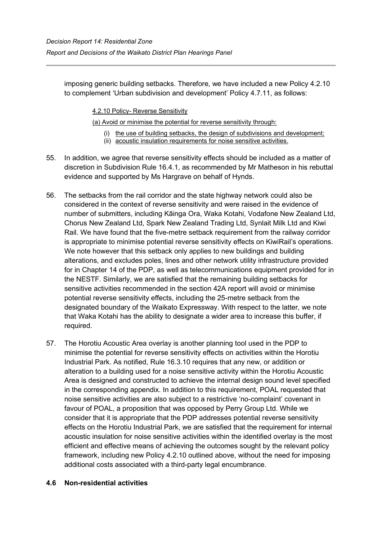imposing generic building setbacks. Therefore, we have included a new Policy 4.2.10 to complement 'Urban subdivision and development' Policy 4.7.11, as follows:

4.2.10 Policy- Reverse Sensitivity

(a) Avoid or minimise the potential for reverse sensitivity through:

- (i) the use of building setbacks, the design of subdivisions and development;
- (ii) acoustic insulation requirements for noise sensitive activities.
- 55. In addition, we agree that reverse sensitivity effects should be included as a matter of discretion in Subdivision Rule 16.4.1, as recommended by Mr Matheson in his rebuttal evidence and supported by Ms Hargrave on behalf of Hynds.
- 56. The setbacks from the rail corridor and the state highway network could also be considered in the context of reverse sensitivity and were raised in the evidence of number of submitters, including Kāinga Ora, Waka Kotahi, Vodafone New Zealand Ltd, Chorus New Zealand Ltd, Spark New Zealand Trading Ltd, Synlait Milk Ltd and Kiwi Rail. We have found that the five-metre setback requirement from the railway corridor is appropriate to minimise potential reverse sensitivity effects on KiwiRail's operations. We note however that this setback only applies to new buildings and building alterations, and excludes poles, lines and other network utility infrastructure provided for in Chapter 14 of the PDP, as well as telecommunications equipment provided for in the NESTF. Similarly, we are satisfied that the remaining building setbacks for sensitive activities recommended in the section 42A report will avoid or minimise potential reverse sensitivity effects, including the 25-metre setback from the designated boundary of the Waikato Expressway. With respect to the latter, we note that Waka Kotahi has the ability to designate a wider area to increase this buffer, if required.
- 57. The Horotiu Acoustic Area overlay is another planning tool used in the PDP to minimise the potential for reverse sensitivity effects on activities within the Horotiu Industrial Park. As notified, Rule 16.3.10 requires that any new, or addition or alteration to a building used for a noise sensitive activity within the Horotiu Acoustic Area is designed and constructed to achieve the internal design sound level specified in the corresponding appendix. In addition to this requirement, POAL requested that noise sensitive activities are also subject to a restrictive 'no-complaint' covenant in favour of POAL, a proposition that was opposed by Perry Group Ltd. While we consider that it is appropriate that the PDP addresses potential reverse sensitivity effects on the Horotiu Industrial Park, we are satisfied that the requirement for internal acoustic insulation for noise sensitive activities within the identified overlay is the most efficient and effective means of achieving the outcomes sought by the relevant policy framework, including new Policy 4.2.10 outlined above, without the need for imposing additional costs associated with a third-party legal encumbrance.

#### **4.6 Non-residential activities**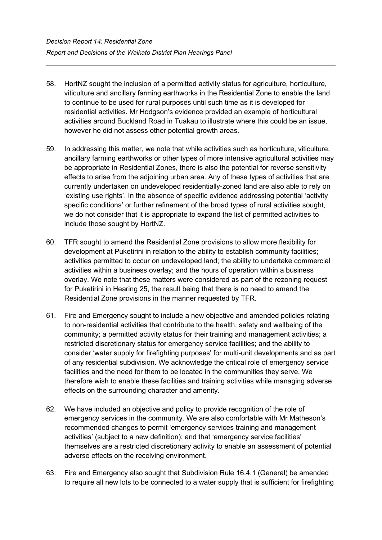- 58. HortNZ sought the inclusion of a permitted activity status for agriculture, horticulture, viticulture and ancillary farming earthworks in the Residential Zone to enable the land to continue to be used for rural purposes until such time as it is developed for residential activities. Mr Hodgson's evidence provided an example of horticultural activities around Buckland Road in Tuakau to illustrate where this could be an issue, however he did not assess other potential growth areas.
- 59. In addressing this matter, we note that while activities such as horticulture, viticulture, ancillary farming earthworks or other types of more intensive agricultural activities may be appropriate in Residential Zones, there is also the potential for reverse sensitivity effects to arise from the adjoining urban area. Any of these types of activities that are currently undertaken on undeveloped residentially-zoned land are also able to rely on 'existing use rights'. In the absence of specific evidence addressing potential 'activity specific conditions' or further refinement of the broad types of rural activities sought, we do not consider that it is appropriate to expand the list of permitted activities to include those sought by HortNZ.
- 60. TFR sought to amend the Residential Zone provisions to allow more flexibility for development at Puketirini in relation to the ability to establish community facilities; activities permitted to occur on undeveloped land; the ability to undertake commercial activities within a business overlay; and the hours of operation within a business overlay. We note that these matters were considered as part of the rezoning request for Puketirini in Hearing 25, the result being that there is no need to amend the Residential Zone provisions in the manner requested by TFR.
- 61. Fire and Emergency sought to include a new objective and amended policies relating to non-residential activities that contribute to the health, safety and wellbeing of the community; a permitted activity status for their training and management activities; a restricted discretionary status for emergency service facilities; and the ability to consider 'water supply for firefighting purposes' for multi-unit developments and as part of any residential subdivision. We acknowledge the critical role of emergency service facilities and the need for them to be located in the communities they serve. We therefore wish to enable these facilities and training activities while managing adverse effects on the surrounding character and amenity.
- 62. We have included an objective and policy to provide recognition of the role of emergency services in the community. We are also comfortable with Mr Matheson's recommended changes to permit 'emergency services training and management activities' (subject to a new definition); and that 'emergency service facilities' themselves are a restricted discretionary activity to enable an assessment of potential adverse effects on the receiving environment.
- 63. Fire and Emergency also sought that Subdivision Rule 16.4.1 (General) be amended to require all new lots to be connected to a water supply that is sufficient for firefighting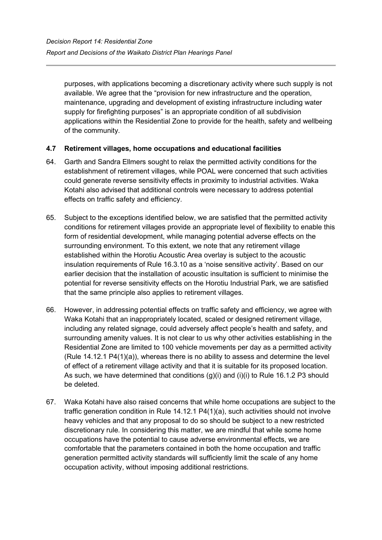purposes, with applications becoming a discretionary activity where such supply is not available. We agree that the "provision for new infrastructure and the operation, maintenance, upgrading and development of existing infrastructure including water supply for firefighting purposes" is an appropriate condition of all subdivision applications within the Residential Zone to provide for the health, safety and wellbeing of the community.

## **4.7 Retirement villages, home occupations and educational facilities**

- 64. Garth and Sandra Ellmers sought to relax the permitted activity conditions for the establishment of retirement villages, while POAL were concerned that such activities could generate reverse sensitivity effects in proximity to industrial activities. Waka Kotahi also advised that additional controls were necessary to address potential effects on traffic safety and efficiency.
- 65. Subject to the exceptions identified below, we are satisfied that the permitted activity conditions for retirement villages provide an appropriate level of flexibility to enable this form of residential development, while managing potential adverse effects on the surrounding environment. To this extent, we note that any retirement village established within the Horotiu Acoustic Area overlay is subject to the acoustic insulation requirements of Rule 16.3.10 as a 'noise sensitive activity'. Based on our earlier decision that the installation of acoustic insultation is sufficient to minimise the potential for reverse sensitivity effects on the Horotiu Industrial Park, we are satisfied that the same principle also applies to retirement villages.
- 66. However, in addressing potential effects on traffic safety and efficiency, we agree with Waka Kotahi that an inappropriately located, scaled or designed retirement village, including any related signage, could adversely affect people's health and safety, and surrounding amenity values. It is not clear to us why other activities establishing in the Residential Zone are limited to 100 vehicle movements per day as a permitted activity (Rule 14.12.1 P4(1)(a)), whereas there is no ability to assess and determine the level of effect of a retirement village activity and that it is suitable for its proposed location. As such, we have determined that conditions  $(g)(i)$  and  $(i)(i)$  to Rule 16.1.2 P3 should be deleted.
- 67. Waka Kotahi have also raised concerns that while home occupations are subject to the traffic generation condition in Rule 14.12.1 P4(1)(a), such activities should not involve heavy vehicles and that any proposal to do so should be subject to a new restricted discretionary rule. In considering this matter, we are mindful that while some home occupations have the potential to cause adverse environmental effects, we are comfortable that the parameters contained in both the home occupation and traffic generation permitted activity standards will sufficiently limit the scale of any home occupation activity, without imposing additional restrictions.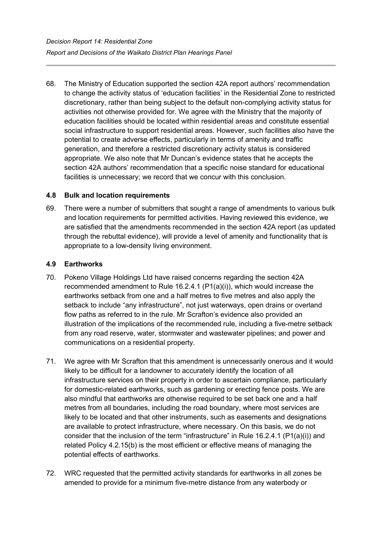68. The Ministry of Education supported the section 42A report authors' recommendation to change the activity status of 'education facilities' in the Residential Zone to restricted discretionary, rather than being subject to the default non-complying activity status for activities not otherwise provided for. We agree with the Ministry that the majority of education facilities should be located within residential areas and constitute essential social infrastructure to support residential areas. However, such facilities also have the potential to create adverse effects, particularly in terms of amenity and traffic generation, and therefore a restricted discretionary activity status is considered appropriate. We also note that Mr Duncan's evidence states that he accepts the section 42A authors' recommendation that a specific noise standard for educational facilities is unnecessary; we record that we concur with this conclusion.

#### **4.8 Bulk and location requirements**

69. There were a number of submitters that sought a range of amendments to various bulk and location requirements for permitted activities. Having reviewed this evidence, we are satisfied that the amendments recommended in the section 42A report (as updated through the rebuttal evidence), will provide a level of amenity and functionality that is appropriate to a low-density living environment.

#### **4.9 Earthworks**

- 70. Pokeno Village Holdings Ltd have raised concerns regarding the section 42A recommended amendment to Rule 16.2.4.1 (P1(a)(i)), which would increase the earthworks setback from one and a half metres to five metres and also apply the setback to include "any infrastructure", not just waterways, open drains or overland flow paths as referred to in the rule. Mr Scrafton's evidence also provided an illustration of the implications of the recommended rule, including a five-metre setback from any road reserve, water, stormwater and wastewater pipelines; and power and communications on a residential property.
- 71. We agree with Mr Scrafton that this amendment is unnecessarily onerous and it would likely to be difficult for a landowner to accurately identify the location of all infrastructure services on their property in order to ascertain compliance, particularly for domestic-related earthworks, such as gardening or erecting fence posts. We are also mindful that earthworks are otherwise required to be set back one and a half metres from all boundaries, including the road boundary, where most services are likely to be located and that other instruments, such as easements and designations are available to protect infrastructure, where necessary. On this basis, we do not consider that the inclusion of the term "infrastructure" in Rule 16.2.4.1 (P1(a)(i)) and related Policy 4.2.15(b) is the most efficient or effective means of managing the potential effects of earthworks.
- 72. WRC requested that the permitted activity standards for earthworks in all zones be amended to provide for a minimum five-metre distance from any waterbody or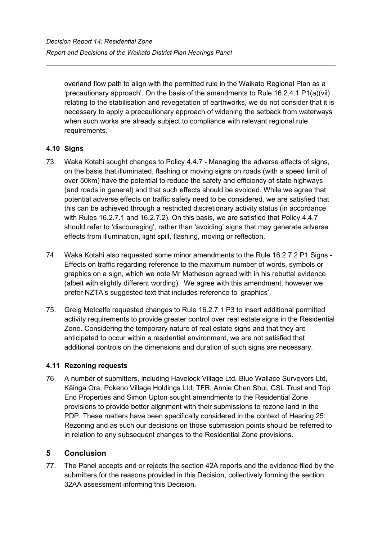overland flow path to align with the permitted rule in the Waikato Regional Plan as a 'precautionary approach'. On the basis of the amendments to Rule 16.2.4.1 P1(a)(vii) relating to the stabilisation and revegetation of earthworks, we do not consider that it is necessary to apply a precautionary approach of widening the setback from waterways when such works are already subject to compliance with relevant regional rule requirements.

## **4.10 Signs**

- 73. Waka Kotahi sought changes to Policy 4.4.7 Managing the adverse effects of signs, on the basis that illuminated, flashing or moving signs on roads (with a speed limit of over 50km) have the potential to reduce the safety and efficiency of state highways (and roads in general) and that such effects should be avoided. While we agree that potential adverse effects on traffic safety need to be considered, we are satisfied that this can be achieved through a restricted discretionary activity status (in accordance with Rules 16.2.7.1 and 16.2.7.2). On this basis, we are satisfied that Policy 4.4.7 should refer to 'discouraging', rather than 'avoiding' signs that may generate adverse effects from illumination, light spill, flashing, moving or reflection.
- 74. Waka Kotahi also requested some minor amendments to the Rule 16.2.7.2 P1 Signs Effects on traffic regarding reference to the maximum number of words, symbols or graphics on a sign, which we note Mr Matheson agreed with in his rebuttal evidence (albeit with slightly different wording). We agree with this amendment, however we prefer NZTA's suggested text that includes reference to 'graphics'.
- 75. Greig Metcalfe requested changes to Rule 16.2.7.1 P3 to insert additional permitted activity requirements to provide greater control over real estate signs in the Residential Zone. Considering the temporary nature of real estate signs and that they are anticipated to occur within a residential environment, we are not satisfied that additional controls on the dimensions and duration of such signs are necessary.

## **4.11 Rezoning requests**

76. A number of submitters, including Havelock Village Ltd, Blue Wallace Surveyors Ltd, Kāinga Ora, Pokeno Village Holdings Ltd, TFR, Annie Chen Shui, CSL Trust and Top End Properties and Simon Upton sought amendments to the Residential Zone provisions to provide better alignment with their submissions to rezone land in the PDP. These matters have been specifically considered in the context of Hearing 25: Rezoning and as such our decisions on those submission points should be referred to in relation to any subsequent changes to the Residential Zone provisions.

## **5 Conclusion**

77. The Panel accepts and or rejects the section 42A reports and the evidence filed by the submitters for the reasons provided in this Decision, collectively forming the section 32AA assessment informing this Decision.